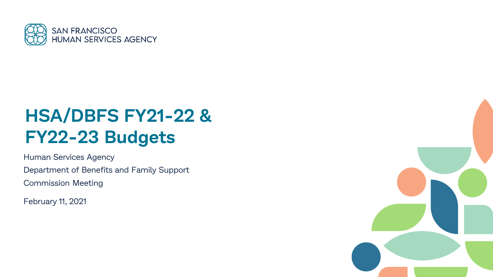

# **HSA/DBFS FY21-22 & FY22-23 Budgets**

Human Services Agency Department of Benefits and Family Support Commission Meeting

February 11, 2021

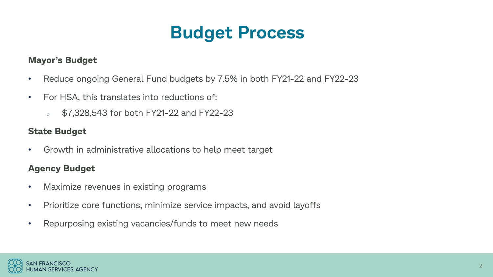## **Budget Process**

### **Mayor's Budget**

- Reduce ongoing General Fund budgets by 7.5% in both FY21-22 and FY22-23
- For HSA, this translates into reductions of:
	- \$7,328,543 for both FY21-22 and FY22-23

### **State Budget**

• Growth in administrative allocations to help meet target

## **Agency Budget**

- Maximize revenues in existing programs
- Prioritize core functions, minimize service impacts, and avoid layoffs
- Repurposing existing vacancies/funds to meet new needs

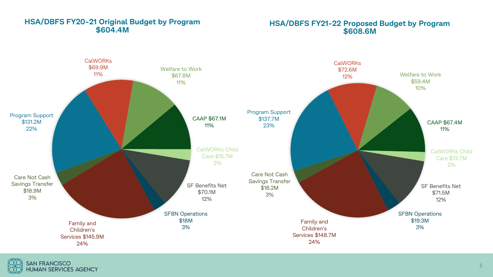

### **HSA/DBFS FY20-21 Original Budget by Program \$604.4M**

**HSA/DBFS FY21-22 Proposed Budget by Program \$608.6M**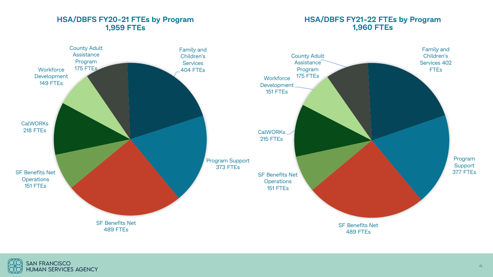



**HSA/DBFS FY20-21 FTEs by Program**

### **HSA/DBFS FY21-22 FTEs by Program 1,960 FTEs**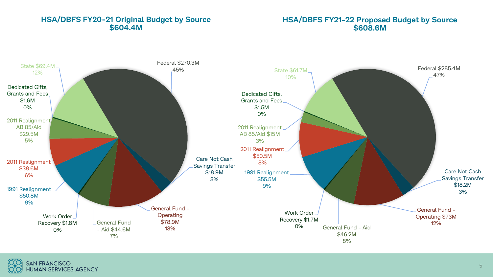### **HSA/DBFS FY20-21 Original Budget by Source \$604.4M**

#### **HSA/DBFS FY21-22 Proposed Budget by Source \$608.6M**



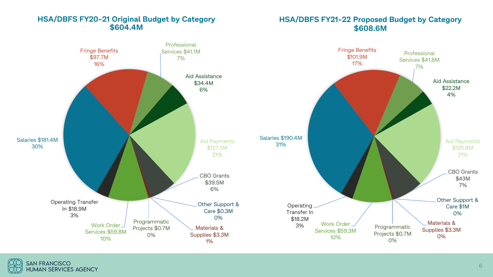### **HSA/DBFS FY20-21 Original Budget by Category \$604.4M**

### **HSA/DBFS FY21-22 Proposed Budget by Category \$608.6M**

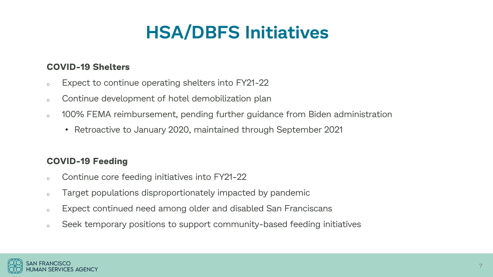# **HSA/DBFS Initiatives**

## **COVID-19 Shelters**

- <sup>o</sup> Expect to continue operating shelters into FY21-22
- o Continue development of hotel demobilization plan
- o 100% FEMA reimbursement, pending further guidance from Biden administration
	- Retroactive to January 2020, maintained through September 2021

## **COVID-19 Feeding**

- o Continue core feeding initiatives into FY21-22
- <sup>o</sup> Target populations disproportionately impacted by pandemic
- <sup>o</sup> Expect continued need among older and disabled San Franciscans
- <sup>o</sup> Seek temporary positions to support community-based feeding initiatives

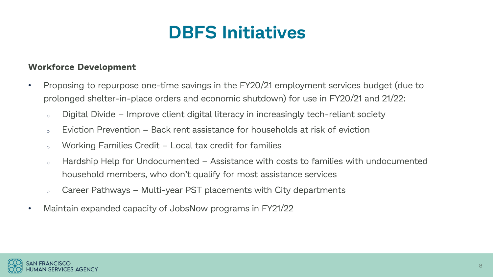## **DBFS Initiatives**

### **Workforce Development**

- Proposing to repurpose one-time savings in the FY20/21 employment services budget (due to prolonged shelter-in-place orders and economic shutdown) for use in FY20/21 and 21/22:
	- o Digital Divide Improve client digital literacy in increasingly tech-reliant society
	- $\sim$  Eviction Prevention Back rent assistance for households at risk of eviction
	- <sup>o</sup> Working Families Credit Local tax credit for families
	- <sup>o</sup> Hardship Help for Undocumented Assistance with costs to families with undocumented household members, who don't qualify for most assistance services
	- <sup>o</sup> Career Pathways Multi-year PST placements with City departments
- Maintain expanded capacity of JobsNow programs in FY21/22

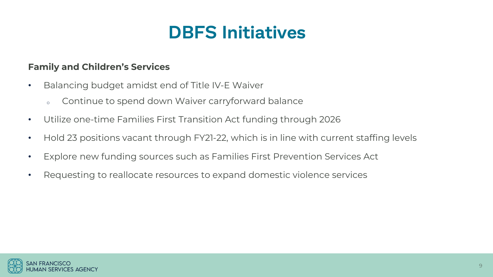## **DBFS Initiatives**

## **Family and Children's Services**

- Balancing budget amidst end of Title IV-E Waiver
	- o Continue to spend down Waiver carryforward balance
- Utilize one-time Families First Transition Act funding through 2026
- Hold 23 positions vacant through FY21-22, which is in line with current staffing levels
- Explore new funding sources such as Families First Prevention Services Act
- Requesting to reallocate resources to expand domestic violence services

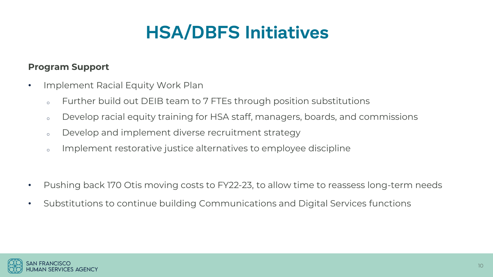# **HSA/DBFS Initiatives**

## **Program Support**

- Implement Racial Equity Work Plan
	- o Further build out DEIB team to 7 FTEs through position substitutions
	- o Develop racial equity training for HSA staff, managers, boards, and commissions
	- o Develop and implement diverse recruitment strategy
	- o Implement restorative justice alternatives to employee discipline
- Pushing back 170 Otis moving costs to FY22-23, to allow time to reassess long-term needs
- Substitutions to continue building Communications and Digital Services functions